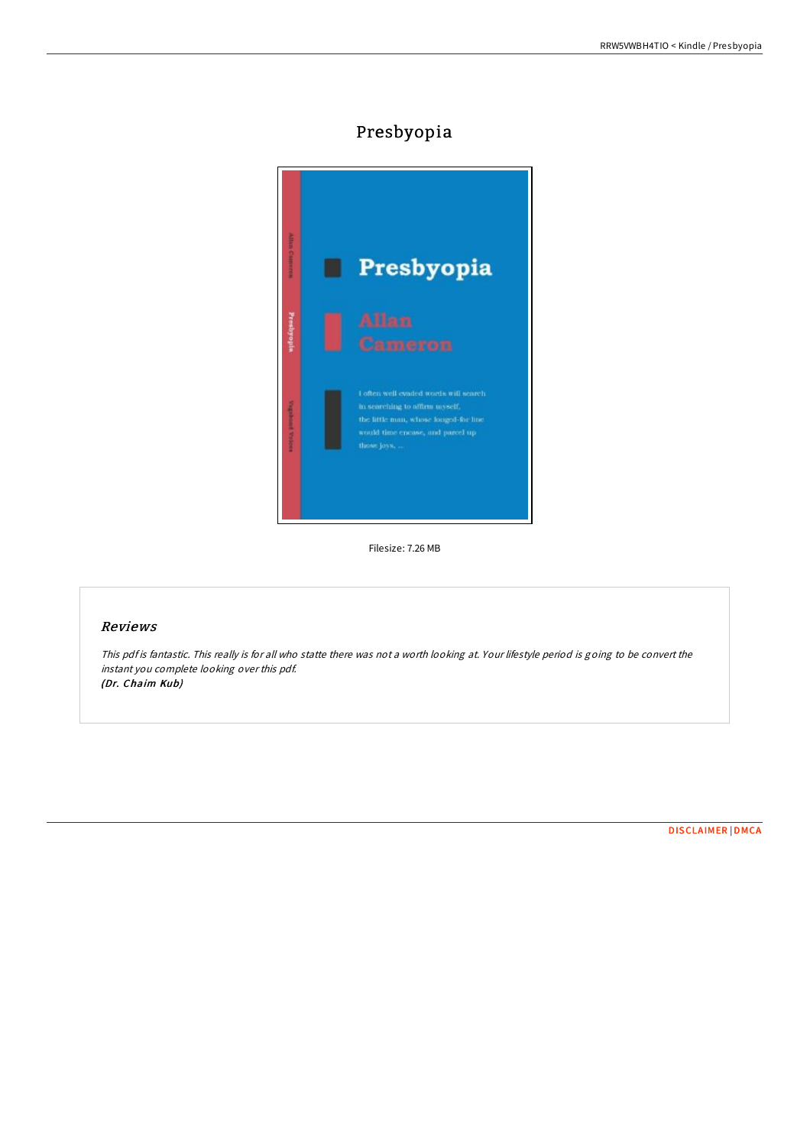# Presbyopia



Filesize: 7.26 MB

## Reviews

This pdf is fantastic. This really is for all who statte there was not <sup>a</sup> worth looking at. Your lifestyle period is going to be convert the instant you complete looking over this pdf. (Dr. Chaim Kub)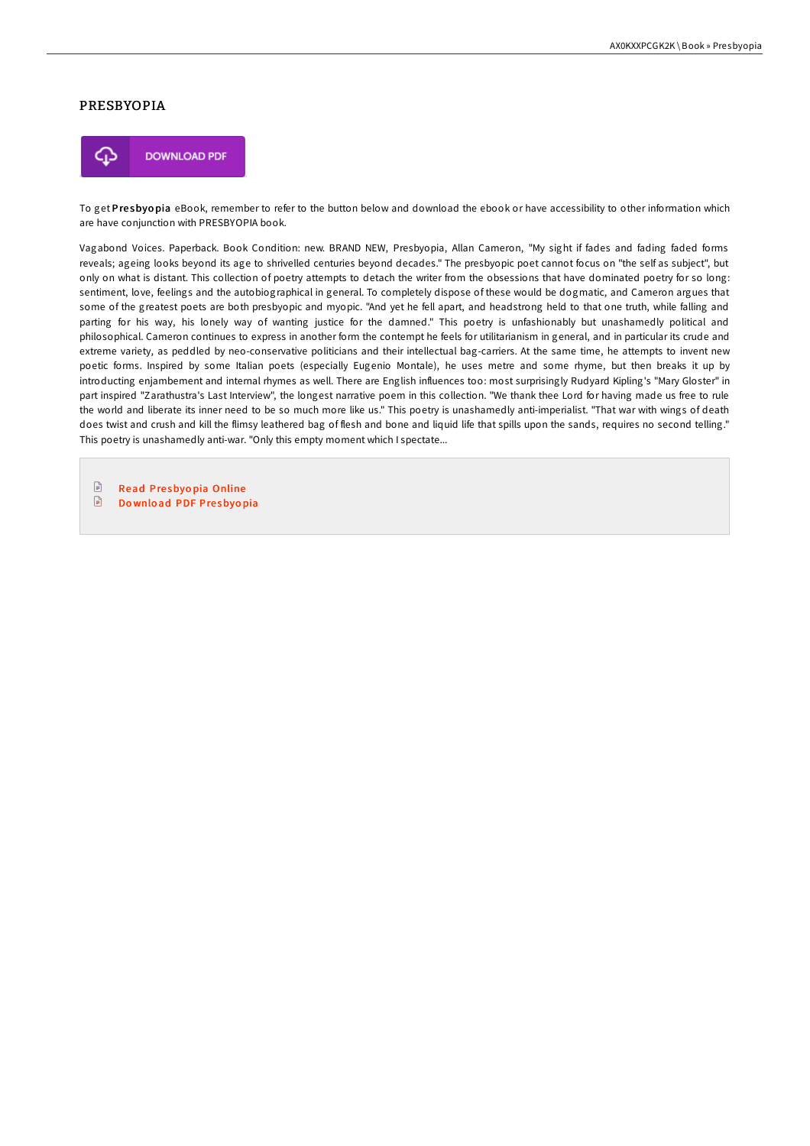#### PRESBYOPIA



To get Presbyopia eBook, remember to refer to the button below and download the ebook or have accessibility to other information which are have conjunction with PRESBYOPIA book.

Vagabond Voices. Paperback. Book Condition: new. BRAND NEW, Presbyopia, Allan Cameron, "My sight if fades and fading faded forms reveals; ageing looks beyond its age to shrivelled centuries beyond decades." The presbyopic poet cannot focus on "the self as subject", but only on what is distant. This collection of poetry attempts to detach the writer from the obsessions that have dominated poetry for so long: sentiment, love, feelings and the autobiographical in general. To completely dispose of these would be dogmatic, and Cameron argues that some of the greatest poets are both presbyopic and myopic. "And yet he fell apart, and headstrong held to that one truth, while falling and parting for his way, his lonely way of wanting justice for the damned." This poetry is unfashionably but unashamedly political and philosophical. Cameron continues to express in another form the contempt he feels for utilitarianism in general, and in particular its crude and extreme variety, as peddled by neo-conservative politicians and their intellectual bag-carriers. At the same time, he attempts to invent new poetic forms. Inspired by some Italian poets (especially Eugenio Montale), he uses metre and some rhyme, but then breaks it up by introducting enjambement and internal rhymes as well. There are English influences too: most surprisingly Rudyard Kipling's "Mary Gloster" in part inspired "Zarathustra's Last Interview", the longest narrative poem in this collection. "We thank thee Lord for having made us free to rule the world and liberate its inner need to be so much more like us." This poetry is unashamedly anti-imperialist. "That war with wings of death does twist and crush and kill the flimsy leathered bag of flesh and bone and liquid life that spills upon the sands, requires no second telling." This poetry is unashamedly anti-war. "Only this empty moment which I spectate...

 $\boxed{=}$ Read Presbyopia [Online](http://almighty24.tech/presbyopia.html)  $\begin{array}{c} \hline \end{array}$ Do[wnlo](http://almighty24.tech/presbyopia.html)ad PDF Presbyopia